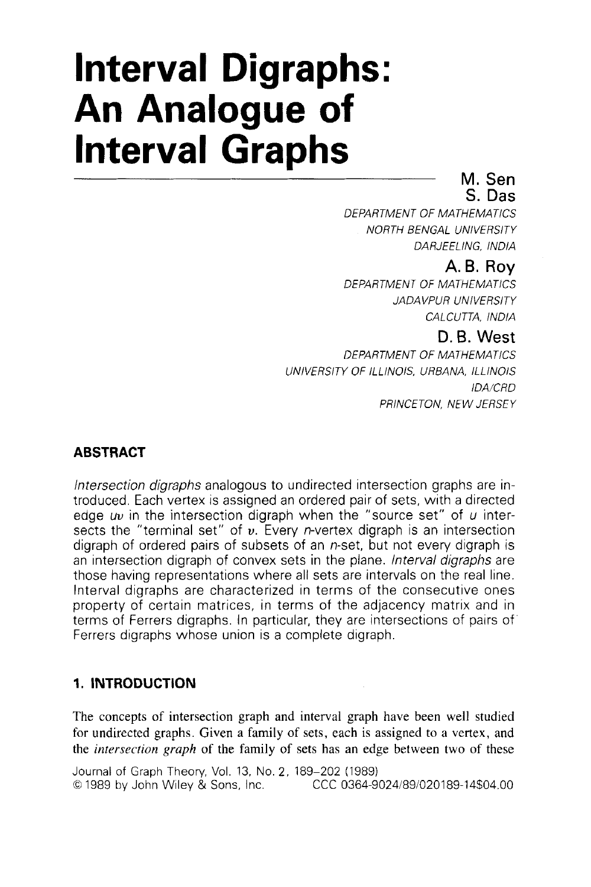# **Interval Digraphs: An Analogue of Interval Graphs** M. Sen

**S.** Das

*DEPARTMENT OF MATHEMATlCS NORTH BENGAL UNlVERSlTY DARJEELING, INDlA* 

# **A.B. Roy**

*DEPARTMENT OF MATHEMATICS JA DA VP UR UN I VERSl TY CALCUTTA, lNDIA* 

## D.B. West

*DEPARTMENT OF MATHEMATlCS UNlVERSITY OF ILLINOIS, URBANA, ILLlNOlS /DA/CRD PRINCETON, NEW JERSEY* 

# **ABSTRACT**

Intersection digraphs analogous to undirected intersection graphs are introduced. Each vertex is assigned an ordered pair of sets, with a directed edge *uu* in the intersection digraph when the "source set" of *u* intersects the "terminal set" of *u.* Every n-vertex digraph is an intersection digraph of ordered pairs of subsets of an n-set, but not every digraph is an intersection digraph of convex sets in the plane. *Interval digraphs* are those having representations where all sets are intervals on the real line. Interval digraphs are characterized in terms of the consecutive ones property of certain matrices, in terms of the adjacency matrix and in terms of Ferrers digraphs. In particular, they are intersections of pairs of' Ferrers digraphs whose union is a complete digraph.

# **1. INTRODUCTION**

The concepts of intersection graph and interval graph have been well studied for undirected graphs. Given a family of sets, each is assigned to a vertex, and the *intersection graph* of the family of sets has an edge between two of these

Journal of Graph Theory, Vol. 13, No. *2,* 189-202 (1989) *0* 1989 by John Wiley & Sons, Inc. CCC 0364-902418910201 89-14\$04.00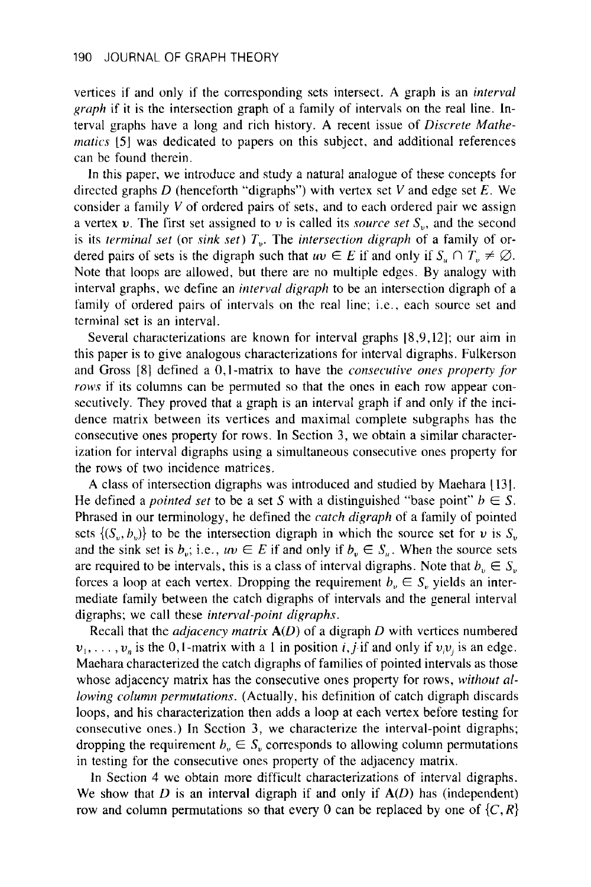vertices if and only if the corresponding sets intersect. **A** graph is an *interval gruph* if it is the intersection graph of a family of intervals on the real line. Interval graphs have a long and rich history. **A** recent issue of *Discrete Mathematics* **151** was dedicated to papers on this subject, and additional references can be found therein.

In this paper, we introduce and study a natural analogue of these concepts for directed graphs *D* (henceforth "digraphs") with vertex set V and edge set *E.* We consider a family V of ordered pairs of sets, and to each ordered pair we assign a vertex  $v$ . The first set assigned to  $v$  is called its *source set*  $S_v$ , and the second is its *terminal set* (or *sink set) T,.* The *intersection digraph* of a family of ordered pairs of sets is the digraph such that  $uv \in E$  if and only if  $S_u \cap T_v \neq \emptyset$ . Note that loops are allowed, but there are no multiple edges. By analogy with interval graphs, we define an *intervul digraph* to be an intersection digraph of **a**  family of ordered pairs of intervals on the real line; i.e., each source set and terminal set is an interval.

Several characterizations are known for interval graphs 18,9,12]; our aim in this paper is to give analogous characterizations for interval digraphs. Fulkerson and Gross [S] defined a 0,l -matrix to have the *consecutive ones property for rows* if its columns can be permuted so that the ones in each row appear consecutively. They proved that a graph is an interval graph if and only if the incidence matrix between its vertices and maximal complete subgraphs has the consecutive ones property for rows. In Section 3, we obtain a similar characterization for interval digraphs using a simultaneous consecutive ones property for the rows of two incidence matrices.

**A** class of intersection digraphs was introduced and studied by Maehara [ 13 J. He defined a *pointed set* to be a set S with a distinguished "base point"  $b \in S$ . Phrased in our terminology, he defined the *catch digraph* of **a** family of pointed sets  $\{(S_v, b_v)\}\)$  to be the intersection digraph in which the source set for *v* is  $S_v$ and the sink set is  $b_v$ ; i.e.,  $uv \in E$  if and only if  $b_v \in S_u$ . When the source sets are required to be intervals, this is a class of interval digraphs. Note that  $b_v \in S_v$ forces a loop at each vertex. Dropping the requirement  $b_n \in S_n$  yields an intermediate family between the catch digraphs of intervals and the general interval digraphs; we call these *intervul-point digraphs.* 

Recall that the *adjacency matrix*  $A(D)$  of a digraph *D* with vertices numbered  $v_1, \ldots, v_n$  is the 0,1-matrix with a 1 in position *i*, *j*-if and only if  $v_i v_j$  is an edge. Maehara characterized the catch digraphs of families of pointed intervals as those whose adjacency matrix has the consecutive ones property for rows, *withour allowing column permutations.* (Actually, his definition of catch digraph discards loops, and his characterization then adds a loop at each vertex before testing for consecutive ones.) In Section 3, we characterize the interval-point digraphs; dropping the requirement  $b_v \in S_v$  corresponds to allowing column permutations in testing for the consecutive ones property of the adjacency matrix.

In Section **4 we** obtain more difficult characterizations of interval digraphs. We show that *D* is an interval digraph if and only if *A(D)* has (independent) row and column permutations so that every 0 can be replaced by one of  $\{C, R\}$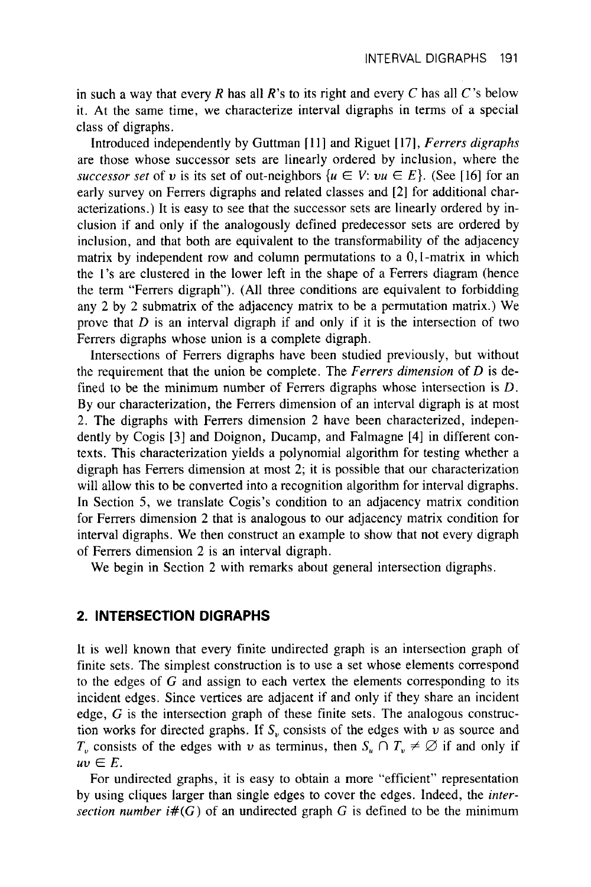in such a way that every  $R$  has all  $R$ 's to its right and every  $C$  has all  $C$ 's below it. At the same time, we characterize interval digraphs in terms of **a** special class of digraphs.

Introduced independently by Guttman [ 111 and Riguet [ 171, *Ferrers digraphs*  are those whose successor sets are linearly ordered by inclusion, where the *successor set* of *v* is its set of out-neighbors  $\{u \in V : vu \in E\}$ . (See [16] for an early survey on Ferrers digraphs and related classes and *[2]* for additional characterizations.) It is easy to see that the successor sets are linearly ordered by inclusion if and only if the analogously defined predecessor sets are ordered by inclusion, and that both are equivalent to the transformability of the adjacency matrix by independent row and column permutations to a 0,I-matrix in which the 1's are clustered in the lower left in the shape of a Ferrers diagram (hence the term "Ferrers digraph'). (All three conditions are equivalent to forbidding any *2* by *2* submatrix of the adjacency matrix to be a permutation matrix.) We prove that *D* is an interval digraph if and only if it is the intersection of two Ferrers digraphs whose union is a complete digraph.

Intersections of Ferrers digraphs have been studied previously, but without the requirement that the union be complete. The *Ferrers dimension* of *D* is defined to be the minimum number of Ferrers digraphs whose intersection is *D.*  By our characterization, the Ferrers dimension of an interval digraph is at most *2.* The digraphs with Ferrers dimension *2* have been characterized, independently by Cogis **[3]** and Doignon, Ducamp, and Falmagne [4] in different contexts. This characterization yields a polynomial algorithm for testing whether a digraph has Ferrers dimension at most *2;* it is possible that our characterization will allow this to be converted into a recognition algorithm for interval digraphs. In Section 5, we translate Cogis's condition to an adjacency matrix condition for Ferrers dimension *2* that is analogous to our adjacency matrix condition for interval digraphs. We then construct an example to show that not every digraph of Ferrers dimension *2* is an interval digraph.

We begin in Section *2* with remarks about general intersection digraphs.

## **2. INTERSECTION DIGRAPHS**

It is well known that every finite undirected graph is an intersection graph of finite sets. The simplest construction is to use a set whose elements correspond to the edges of  $G$  and assign to each vertex the elements corresponding to its incident edges. Since vertices are adjacent if and only if they share an incident edge, G is the intersection graph of these finite sets. The analogous construction works for directed graphs. If  $S<sub>v</sub>$  consists of the edges with  $v$  as source and  $T_v$  consists of the edges with *v* as terminus, then  $S_u \cap T_v \neq \emptyset$  if and only if  $uv \in E$ .

For undirected graphs, it is easy to obtain a more "efficient" representation by using cliques larger than single edges to cover the edges. Indeed, the *inrersection number*  $i#(G)$  of an undirected graph G is defined to be the minimum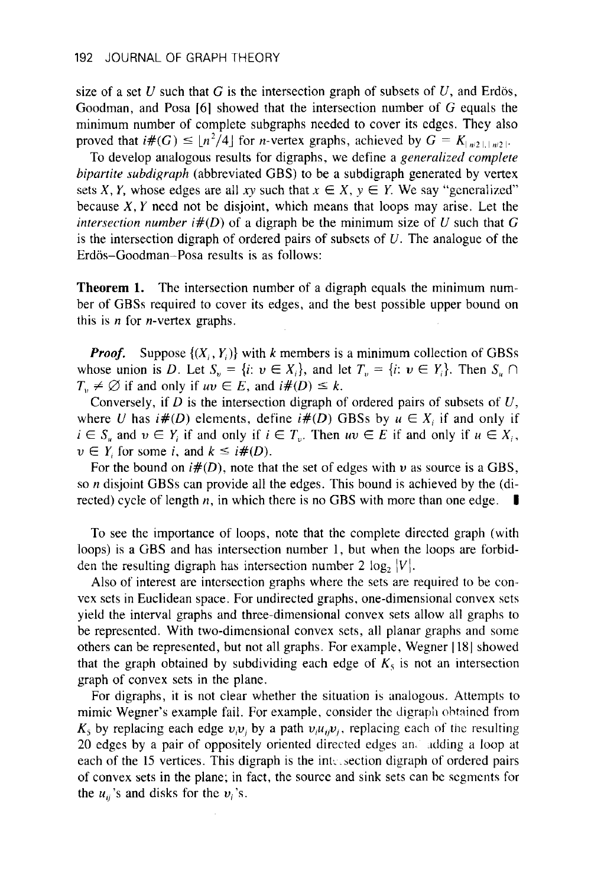size of a set  $U$  such that  $G$  is the intersection graph of subsets of  $U$ , and Erdös, Goodman, and Posa *[6]* showed that the intersection number of G equals the minimum number of complete subgraphs needed to cover its edges. They also proved that  $i\#(G) \leq \lfloor n^2/4 \rfloor$  for *n*-vertex graphs, achieved by  $G = K_{\lfloor n/2 \rfloor, \lfloor n/2 \rfloor}$ 

To develop analogous results for digraphs, we define a generalized complete bipartite subdigraph (abbreviated GBS) to be a subdigraph generated by vertex sets X, Y, whose edges are all xy such that  $x \in X$ ,  $y \in Y$ . We say "generalized" because  $X, Y$  need not be disjoint, which means that loops may arise. Let the intersection number  $i\#(D)$  of a digraph be the minimum size of U such that G is the intersection digraph of ordered pairs of subsets of *U.* The analogue of the Erdös-Goodman-Posa results is as follows:

**Theorem 1.** The intersection number of a digraph equals the minimum number of GBSs required to cover its edges, and the best possible upper bound on this is *n* for n-vertex graphs.

*Proof.* Suppose  $\{(X_i, Y_i)\}\$  with *k* members is a minimum collection of GBSs whose union is *D*. Let  $S_n = \{i: v \in X_i\}$ , and let  $T_n = \{i: v \in Y_i\}$ . Then  $S_n \cap$  $T_v \neq \emptyset$  if and only if  $uv \in E$ , and  $i\#(D) \leq k$ .

Conversely, if *D* is the intersection digraph of ordered pairs of subsets of *U,*  where *U* has  $i\#(D)$  elements, define  $i\#(D)$  GBSs by  $u \in X_i$  if and only if  $i \in S_n$  and  $v \in Y_i$  if and only if  $i \in T_v$ . Then  $uv \in E$  if and only if  $u \in X_i$ ,  $v \in Y_i$  for some *i*, and  $k \leq i \#(D)$ .

For the bound on *i#(D),* note that the set of edges with *u* as source is a GBS, so *n* disjoint GBSs can provide all the edges. This bound is achieved by the (di-rected) cycle of length n, in which there is no GBS with more than one edge. **I** 

To see the importance of loops, note that the complete directed graph (with loops) is a GBS and has intersection number 1, but when the loops are forbidden the resulting digraph has intersection number 2  $log_2 |V|$ .

Also of interest are intersection graphs where the sets are required to be convex sets in Euclidean space. For undirected graphs, one-dimensional convex sets yield the interval graphs and three-dimensional convex sets allow all graphs to be represented. With two-dimensional convex sets, all planar graphs and some others can be represented, but not all graphs. For example, Wegner 1181 showed that the graph obtained by subdividing each edge of  $K_5$  is not an intersection graph of convex sets in the plane.

For digraphs, it is not clear whether the situation is analogous. Attempts to mimic Wegner's example fail. For example, consider the digraph obtained from  $K_5$  by replacing each edge  $v_i v_i$  by a path  $v_j u_j v_j$ , replacing each of the resulting 20 edges by a pair of oppositely oriented directed edges an. .idding a loop at each of the 15 vertices. This digraph is the intersection digraph of ordered pairs of convex sets in the plane; in fact, the source and sink sets can be scgmcnts for the  $u_{ii}$ 's and disks for the  $v_i$ 's.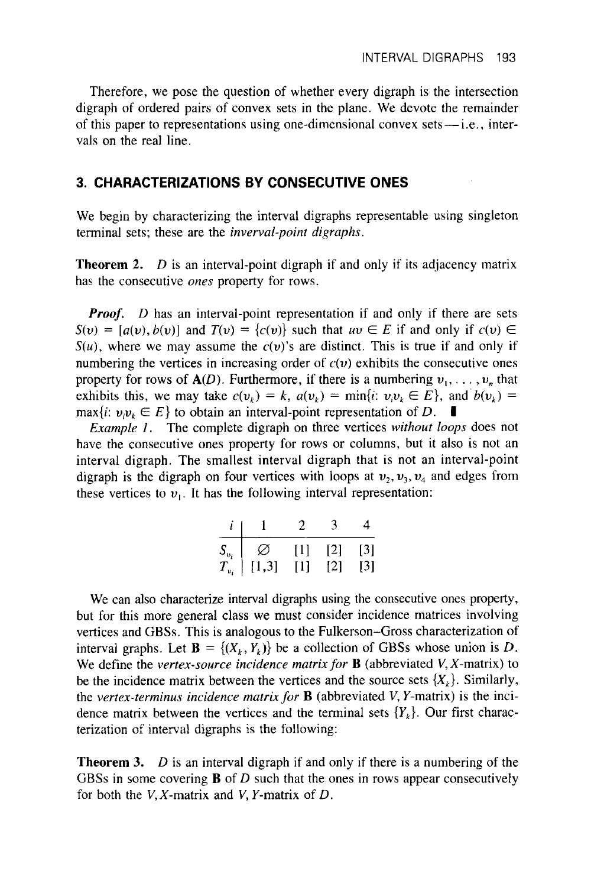Therefore, we pose the question of whether every digraph is the intersection digraph of ordered pairs of convex sets in the plane. We devote the remainder Therefore, we pose the question of whether every digraph is the intersection<br>digraph of ordered pairs of convex sets in the plane. We devote the remainder<br>of this paper to representations using one-dimensional convex sets vals on the real line.

### **3. CHARACTERIZATIONS BY CONSECUTIVE ONES**

We begin by characterizing the interval digraphs representable using singleton terminal sets; these are the *inverval-point digraphs.* 

**Theorem 2.** *D* is an interval-point digraph if and only if its adjacency matrix has the consecutive *ones* property for rows.

*Proof. D* has an interval-point representation if and only if there are sets  $S(v) = [a(v), b(v)]$  and  $T(v) = \{c(v)\}\$  such that  $uv \in E$  if and only if  $c(v) \in E$  $S(u)$ , where we may assume the  $c(v)$ 's are distinct. This is true if and only if numbering the vertices in increasing order of  $c(v)$  exhibits the consecutive ones property for rows of  $A(D)$ . Furthermore, if there is a numbering  $v_1, \ldots, v_n$  that exhibits this, we may take  $c(v_k) = k$ ,  $a(v_k) = \min\{i: v_i v_k \in E\}$ , and  $b(v_k) =$  $\max\{i: \nu_i \nu_k \in E\}$  to obtain an interval-point representation of *D*. **I** 

*Example 1.* The complete digraph on three vertices without loops does not have the consecutive ones property for rows or columns, but it also is not an interval digraph. The smallest interval digraph that is not an interval-point digraph is the digraph on four vertices with loops at  $v_2, v_3, v_4$  and edges from these vertices to  $v_1$ . It has the following interval representation:

|                               |               | 2      |     |       |
|-------------------------------|---------------|--------|-----|-------|
|                               | $\varnothing$ | $\Box$ | [2] | $[3]$ |
| $\frac{S_{\nu_i}}{T_{\nu_i}}$ | [1,3]         | Ш      | [2] | [3]   |

We can also characterize interval digraphs using the consecutive ones property, but for this more general class we must consider incidence matrices involving vertices and GBSs. This is analogous to the Fulkerson-Gross characterization of interval graphs. Let  $\mathbf{B} = \{(X_i, Y_j)\}\$  be a collection of GBSs whose union is *D*. We define the *vertex-source incidence matrix for* **B** (abbreviated *V,* X-matrix) to be the incidence matrix between the vertices and the source sets  $\{X_k\}$ . Similarly, the *vertex-terminus incidence matrix for* **B** (abbreviated V, Y-matrix) is the incidence matrix between the vertices and the terminal sets  ${Y_k}$ . Our first characterization of interval digraphs is the following:

**Theorem 3.** *D* is an interval digraph if and only if there is a numbering of the GBSs in some covering **B** of *D* such that the ones in rows appear consecutively for both the V,X-matrix and V, Y-matrix of *D.*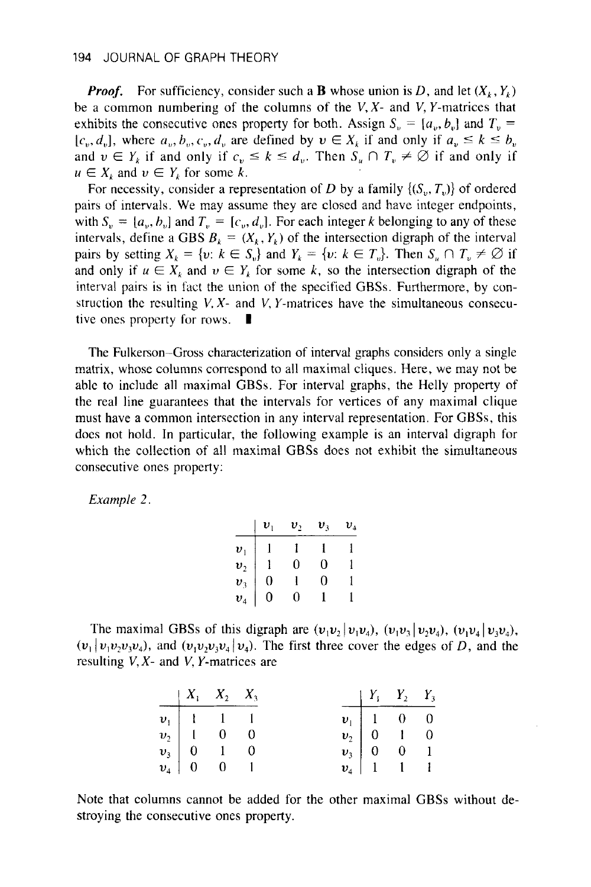*Proof.* For sufficiency, consider such a **B** whose union is D, and let  $(X_k, Y_k)$ be a common numbering of the columns of the *V,X-* and *V,* Y-matrices that exhibits the consecutive ones property for both. Assign  $S_n = [a_n, b_n]$  and  $T_n =$  $[c_v, d_v]$ , where  $a_v, b_v, c_v, d_v$  are defined by  $v \in X_k$  if and only if  $a_v \leq k \leq b_v$ and  $v \in Y_k$  if and only if  $c_v \le k \le d_v$ . Then  $S_u \cap T_v \ne \emptyset$  if and only if  $u \in X_k$  and  $v \in Y_k$  for some k.

For necessity, consider a representation of *D* by a family  $\{(S_{\nu}, T_{\nu})\}$  of ordered pairs of intervais. We may assume they are closed and have integer endpoints, with  $S_n = [a_n, b_n]$  and  $T_n = [c_n, d_n]$ . For each integer *k* belonging to any of these intervals, define a GBS  $B_k = (X_k, Y_k)$  of the intersection digraph of the interval pairs by setting  $X_k = \{v: k \in S_n\}$  and  $Y_k = \{v: k \in T_v\}$ . Then  $S_k \cap T_v \neq \emptyset$  if and only if  $u \in X_k$  and  $v \in Y_k$  for some k, so the intersection digraph of the interval pairs is in fact the union of the specified GBSs. Furthermore, by construction the resulting *V, X-* and *V, Y-matrices have the simultaneous consecu-<br>tive ones property for rows.*  $\blacksquare$ 

The Fulkerson-Gross characterization of interval graphs considers only a single matrix, whose columns correspond to all maximal cliques. Here, we may not be able to include all maximal GBSa. For interval graphs, the Helly property of the real line guarantees that the intervals for vertices of any maximal clique must have a common intersection in any interval representation. For **GBSs,** this does not hold. In particular, the following example is an interval digraph for which the collection of all maximal GBSs does not exhibit the simultaneous consecutive ones property:

*Example 2.* 

|                                                                             | $v_{1}$                          | $v_2$ | $v_{3}$ | $v_{\scriptscriptstyle 4}$ |
|-----------------------------------------------------------------------------|----------------------------------|-------|---------|----------------------------|
|                                                                             |                                  |       |         |                            |
|                                                                             |                                  | 0     | 0       |                            |
|                                                                             | $\begin{matrix}0\\0\end{matrix}$ |       | 0       |                            |
| $\begin{array}{c} \bm{v}_1 \\ \bm{v}_2 \\ \bm{v}_3 \\ \bm{v}_4 \end{array}$ |                                  | 0     |         |                            |

The maximal GBSs of this digraph are  $(v_1v_2 | v_1v_4)$ ,  $(v_1v_3 | v_2v_4)$ ,  $(v_1v_4 | v_3v_4)$ ,  $(v_1 | v_1 v_2 v_3 v_4)$ , and  $(v_1 v_2 v_3 v_4 | v_4)$ . The first three cover the edges of *D*, and the resulting *V, X-* and *V,* Y-matrices are

|  |                                                                                                   |  | $\begin{array}{ccc} & Y_1 & Y_2 & Y_3 \end{array}$                                      |  |
|--|---------------------------------------------------------------------------------------------------|--|-----------------------------------------------------------------------------------------|--|
|  | $\begin{array}{c cc} & X_1 & X_2 & X_3 \\ \hline\nv_1 & 1 & 1 & 1\n\end{array}$                   |  | $\begin{array}{c cc} v_1 & 1 & 0 & 0 \\ v_2 & 0 & 1 & 0 \\ v_3 & 0 & 0 & 1 \end{array}$ |  |
|  | $v_2$   1 0 0                                                                                     |  |                                                                                         |  |
|  |                                                                                                   |  |                                                                                         |  |
|  | $\begin{vmatrix} v_3 \\ v_4 \end{vmatrix} = \begin{vmatrix} 0 & 1 & 0 \\ 0 & 0 & 1 \end{vmatrix}$ |  | $\mathbf{v}_4$   1   1                                                                  |  |

Note that columns cannot be added for the other maximal GBSs without destroying the consecutive ones property.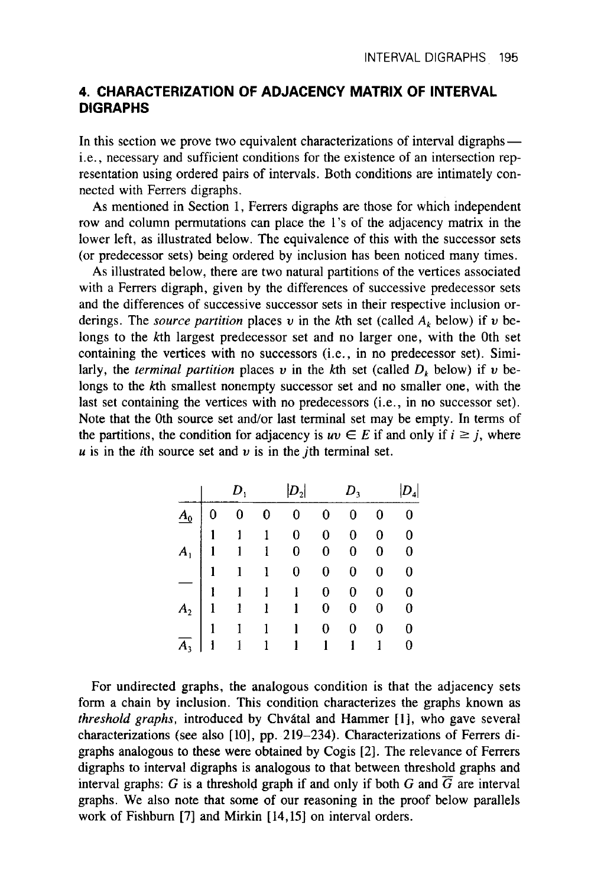## **4. CHARACTERIZATION OF ADJACENCY MATRIX OF INTERVAL DIGRAPHS**

In this section we prove two equivalent characterizations of interval digraphs i.e., necessary and sufficient conditions for the existence of an intersection representation using ordered pairs of intervals. Both conditions are intimately connected with Ferrers digraphs.

**As** mentioned in Section 1, Ferrers digraphs are those for which independent row and column permutations can place the 1's of the adjacency matrix in the lower left, as illustrated below. The equivalence of this with the successor sets (or predecessor sets) being ordered by inclusion has been noticed many times.

**As** illustrated below, there are two natural partitions of the vertices associated with a Ferrers digraph, given by the differences of successive predecessor sets and the differences of successive successor sets in their respective inclusion orderings. The *source partition* places *v* in the kth set (called  $A_k$  below) if *v* belongs to the kth largest predecessor set and no larger one, with the 0th set containing the vertices with no successors (i.e., in no predecessor set). Similarly, the *terminal partition* places  $v$  in the kth set (called  $D_k$  below) if  $v$  belongs to the kth smallest nonempty successor set and no smaller one, with the last set containing the vertices with no predecessors (i.e., in no successor set). Note that the 0th source set and/or last terminal set may be empty. In terms of the partitions, the condition for adjacency is  $uv \in E$  if and only if  $i \ge j$ , where  $\mu$  is in the *i*th source set and  $\nu$  is in the *j*th terminal set.

|  | $D_{1}$ | $ D_2 $                                                                                                                                                                                                                                                         | $D_3$        |             |                          |
|--|---------|-----------------------------------------------------------------------------------------------------------------------------------------------------------------------------------------------------------------------------------------------------------------|--------------|-------------|--------------------------|
|  |         | $\begin{array}{c cccccc} A_0 & 0 & 0 & 0 & 0 & 0 \\ \hline A_1 & 1 & 1 & 1 & 0 & 0 \\ \hline 1 & 1 & 1 & 0 & 0 & 0 \\ \hline 1 & 1 & 1 & 0 & 0 & 0 \\ \hline 1 & 1 & 1 & 1 & 0 & 0 \\ A_2 & 1 & 1 & 1 & 1 & 0 \\ \hline A_3 & 1 & 1 & 1 & 1 & 1 \\ \end{array}$ | $\bf{0}$     | 0           | $\bf{0}$                 |
|  |         |                                                                                                                                                                                                                                                                 | $\mathbf{0}$ | $\mathbf 0$ | $\overline{\phantom{0}}$ |
|  |         |                                                                                                                                                                                                                                                                 | $\bf{0}$     | 0           | $\bf{0}$                 |
|  |         |                                                                                                                                                                                                                                                                 | 0            | 0           | $\bf{0}$                 |
|  |         |                                                                                                                                                                                                                                                                 | $\mathbf{0}$ | $\bf{0}$    | $\overline{0}$           |
|  |         |                                                                                                                                                                                                                                                                 |              | 0           | $\bf{0}$                 |
|  |         |                                                                                                                                                                                                                                                                 | 0            | 0           | 0                        |
|  |         |                                                                                                                                                                                                                                                                 | $\mathbf{1}$ | 1           | 0                        |

For undirected graphs, the analogous condition is that the adjacency sets form a chain **by** inclusion. This condition characterizes the graphs known **as**  threshold graphs, introduced by Chvátal and Hammer [1], who gave several characterizations (see also [10], pp. 219-234). Characterizations of Ferrers digraphs analogous to these were obtained by Cogis [2]. The relevance of Ferrers digraphs to interval digraphs is analogous to that between threshold graphs and interval graphs:  $G$  is a threshold graph if and only if both  $G$  and  $\overline{G}$  are interval graphs. We also note that some of our reasoning in the proof below parallels work of Fishburn [7] and Mirkin [14,15] on interval orders.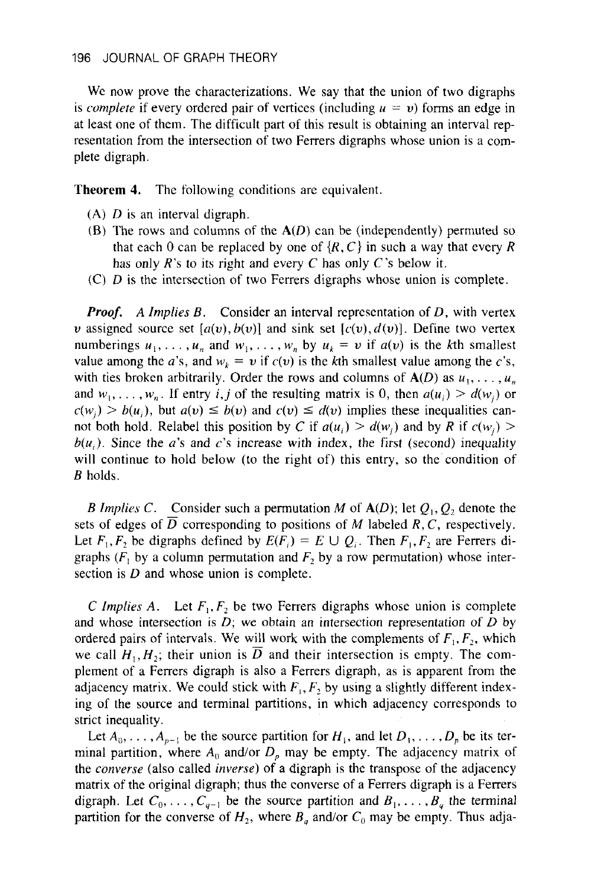We now prove the characterizations. We say that the union of two digraphs is *complete* if every ordered pair of vertices (including  $u = v$ ) forms an edge in at least one of them. The difficult part of this result is obtaining an interval representation from the intersection of two Ferrers digraphs whose union is a complete digraph.

**Theorem 4.** The following conditions are equivalent.

- **(A)** *D* is an interval digraph.
- *(5)* The rows and columns of the *A(D)* can be (independently) permuted so that each 0 can be replaced by one of  $\{R, C\}$  in such a way that every R has only *R's* to its right and every C has only C's below it.
- (C) *D* is the intersection of two Ferrers digraphs whose union is complete.

*Proof. A Implies B.* Consider an interval representation of *D,* with vertex *u* assigned source set  $[a(v), b(v)]$  and sink set  $[c(v), d(v)]$ . Define two vertex numberings  $u_1, \ldots, u_n$  and  $w_1, \ldots, w_n$  by  $u_k = v$  if  $a(v)$  is the kth smallest value among the *a*'s, and  $w_k = v$  if  $c(v)$  is the kth smallest value among the *c*'s, with ties broken arbitrarily. Order the rows and columns of  $A(D)$  as  $u_1, \ldots, u_n$ and  $w_1, \ldots, w_n$ . If entry *i, j* of the resulting matrix is 0, then  $a(u_i) > d(w_i)$  or  $c(w_i) > b(u_i)$ , but  $a(v) \leq b(v)$  and  $c(v) \leq d(v)$  implies these inequalities cannot both hold. Relabel this position by C if  $a(u_i) > d(w_i)$  and by R if  $c(w_i)$  $b(u_i)$ . Since the *a*'s and *c*'s increase with index, the first (second) inequality will continue to hold below (to the right of) this entry, so the condition of *B* holds.

*B Implies C.* Consider such a permutation *M* of  $A(D)$ ; let  $Q_1, Q_2$  denote the sets of edges of  $\overline{D}$  corresponding to positions of *M* labeled *R*, *C*, respectively. Let  $F_1, F_2$  be digraphs defined by  $E(F_i) = E \cup Q_i$ . Then  $F_1, F_2$  are Ferrers digraphs  $(F_1)$  by a column permutation and  $F_2$  by a row permutation) whose intersection is *D* and whose union is complete.

C *Implies A.* Let  $F_1, F_2$  be two Ferrers digraphs whose union is complete and whose intersection is *D;* **we** obtain an intersection representation of *D* by ordered pairs of intervals. We will work with the complements of  $F_1, F_2$ , which we call  $H_1, H_2$ ; their union is *D* and their intersection is empty. The complement of a Ferrers digraph is also a Ferrers digraph, as is apparent from the adjacency matrix. We could stick with  $F_1, F_2$  by using a slightly different indexing of the source and terminal partitions, in which adjacency corresponds to strict inequality.

Let  $A_0, \ldots, A_{p-1}$  be the source partition for  $H_i$ , and let  $D_1, \ldots, D_p$  be its terminal partition, where  $A_0$  and/or  $D_p$  may be empty. The adjacency matrix of the *converse* (also called *inverse)* of a digraph is the transpose of the adjacency matrix of the original digraph; thus the converse of a Ferrers digraph is a Ferrers digraph. Let  $C_0, \ldots, C_{q-1}$  be the source partition and  $B_1, \ldots, B_q$  the terminal partition for the converse of  $H_2$ , where  $B_a$  and/or  $C_0$  may be empty. Thus adja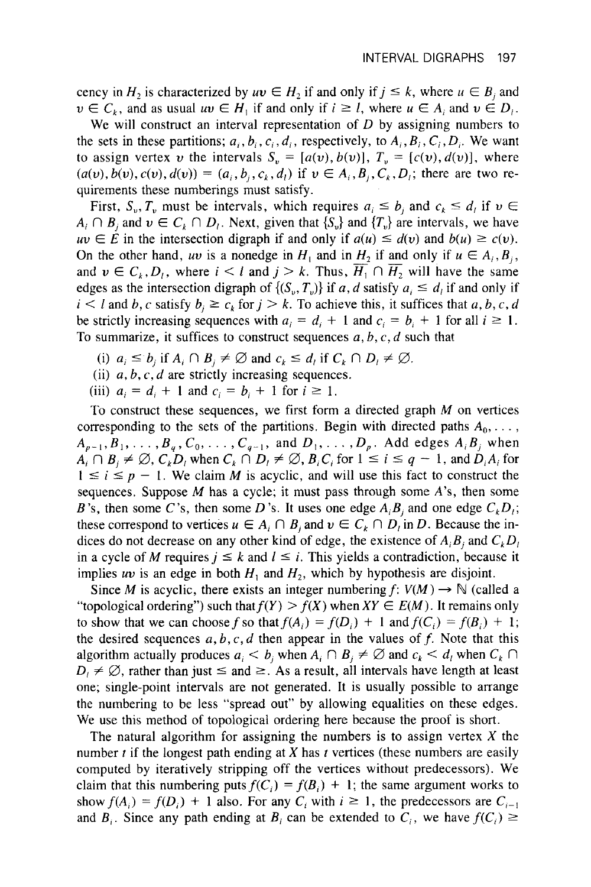cency in  $H_2$  is characterized by  $uv \in H_2$  if and only if  $j \leq k$ , where  $u \in B_i$  and  $v \in C_k$ , and as usual  $uv \in H_1$  if and only if  $i \geq 1$ , where  $u \in A_i$  and  $v \in D_i$ .

We will construct an interval representation of *D* by assigning numbers to the sets in these partitions;  $a_i, b_i, c_i, d_i$ , respectively, to  $A_i, B_i, C_i, D_i$ . We want to assign vertex *v* the intervals  $S_n = [a(v), b(v)], T_n = [c(v), d(v)],$  where  $(a(v), b(v), c(v), d(v)) = (a_i, b_i, c_k, d_i)$  if  $v \in A_i, B_i, C_k, D_i$ ; there are two requirements these numberings must satisfy.

First,  $S_v$ ,  $T_v$  must be intervals, which requires  $a_i \le b_j$  and  $c_k \le d_i$  if  $v \in A_i \cap B_j$  and  $v \in C_k \cap D_i$ . Next, given that  $\{S_v\}$  and  $\{T_v\}$  are intervals, we have  $uv \in E$  in the intersection digraph if and only if  $a(u$  $A_i \cap B_j$  and  $v \in C_k \cap D_j$ . Next, given that  $\{S_v\}$  and  $\{T_v\}$  are intervals, we have On the other hand, *uv* is a nonedge in  $H_1$  and in  $H_2$  if and only if  $u \in A_i, B_i$ , and  $v \in C_k, D_i$ , where  $i < l$  and  $j > k$ . Thus,  $\overline{H_1} \cap \overline{H_2}$  will have the same edges as the intersection digraph of  $\{(S_v, T_v)\}\$  if *a, d* satisfy  $a_i \leq d_i$  if and only if  $i < l$  and *b*, *c* satisfy  $b_i \ge c_k$  for  $j > k$ . To achieve this, it suffices that *a*, *b*, *c*, *d* be strictly increasing sequences with  $a_i = d_i + 1$  and  $c_i = b_i + 1$  for all  $i \ge 1$ . To summarize, it suffices to construct sequences *a,* b, c, d such that

- (i)  $a_i \leq b_i$  if  $A_i \cap B_i \neq \emptyset$  and  $c_k \leq d_i$  if  $C_k \cap D_i \neq \emptyset$ .
- (ii)  $a, b, c, d$  are strictly increasing sequences.
- (iii)  $a_i = d_i + 1$  and  $c_i = b_i + 1$  for  $i \ge 1$ .

To construct these sequences, we first form a directed graph *M* on vertices corresponding to the sets of the partitions. Begin with directed paths  $A_0, \ldots$ ,  $A_{p-1}, B_1, \ldots, B_q, C_0, \ldots, C_{q-1}$ , and  $D_1, \ldots, D_p$ . Add edges  $A_i B_j$  when  $A_i \cap B_j \neq \emptyset$ ,  $C_kD_i$  when  $C_k \cap D_i \neq \emptyset$ ,  $B_iC_i$  for  $1 \leq i \leq q-1$ , and  $D_iA_i$  for  $1 \leq i \leq p - 1$ . We claim *M* is acyclic, and will use this fact to construct the sequences. Suppose *M* has a cycle; it must pass through some A's, then some B's, then some C's, then some D's. It uses one edge  $A_iB_i$  and one edge  $C_kD_i$ ; these correspond to vertices  $u \in A_i \cap B_i$  and  $v \in C_k \cap D_i$  in *D*. Because the indices do not decrease on any other kind of edge, the existence of  $A_i B_i$  and  $C_k D_i$ in a cycle of *M* requires  $j \leq k$  and  $l \leq i$ . This yields a contradiction, because it implies *uv* is an edge in both  $H_1$  and  $H_2$ , which by hypothesis are disjoint.

Since *M* is acyclic, there exists an integer numbering  $f: V(M) \rightarrow \mathbb{N}$  (called a "topological ordering") such that  $f(Y) > f(X)$  when  $XY \in E(M)$ . It remains only to show that we can choose f so that  $f(A_i) = f(D_i) + 1$  and  $f(C_i) = f(B_i) + 1$ ; the desired sequences  $a, b, c, d$  then appear in the values of  $f$ . Note that this algorithm actually produces  $a_i < b_i$ , when  $A_i \cap B_i \neq \emptyset$  and  $c_k < d_i$ , when  $C_k \cap$  $D_i \neq \emptyset$ , rather than just  $\leq$  and  $\geq$ . As a result, all intervals have length at least one; single-point intervals are not generated. It is usually possible to arrange the numbering to be less "spread out" by allowing equalities on these edges. We use this method of topological ordering here because the proof is short.

The natural algorithm for assigning the numbers is to assign vertex  $X$  the number *t* if the longest path ending at X has *t* vertices (these numbers are easily computed by iteratively stripping off the vertices without predecessors). We claim that this numbering puts  $f(C_i) = f(B_i) + 1$ ; the same argument works to show  $f(A_i) = f(D_i) + 1$  also. For any  $C_i$  with  $i \ge 1$ , the predecessors are  $C_{i-1}$ and  $B_i$ . Since any path ending at  $B_i$  can be extended to  $C_i$ , we have  $f(C_i) \geq 1$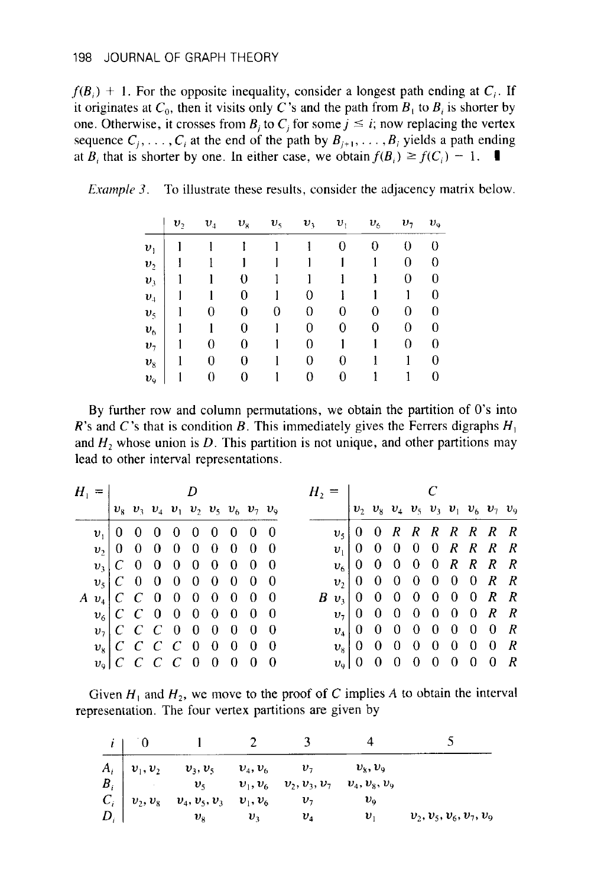$f(B_i) + 1$ . For the opposite inequality, consider a longest path ending at  $C_i$ . If it originates at  $C_0$ , then it visits only C's and the path from  $B_1$  to  $B_i$  is shorter by one. Otherwise, it crosses from  $B_i$  to  $C_i$  for some  $j \le i$ ; now replacing the vertex sequence  $C_i, \ldots, C_i$  at the end of the path by  $B_{i+1}, \ldots, B_i$  yields a path ending at  $B_i$  that is shorter by one. In either case, we obtain  $f(B_i) \ge f(C_i) - 1$ .

|  |  |  |  |  | <i>Example 3.</i> To illustrate these results, consider the adjacency matrix below. |  |
|--|--|--|--|--|-------------------------------------------------------------------------------------|--|
|--|--|--|--|--|-------------------------------------------------------------------------------------|--|

|                | $v_{\gamma}$ | $\boldsymbol{v}_4$ | $v_{8}$ | $v_{5}$ | $v_{3}$ | $\boldsymbol{v}_{1}$ | $v_{\rm{f}}$ | $v_{\tau}$ | $v_{\rm q}$    |
|----------------|--------------|--------------------|---------|---------|---------|----------------------|--------------|------------|----------------|
| $v_{1}$        |              |                    |         |         |         | 0                    | 0            | 0          | 0              |
| $v_{2}$        |              |                    |         |         |         |                      |              | 0          | 0              |
| $v_{3}$        |              |                    | 0       |         |         |                      |              | 0          | 0              |
| $v_{4}$        |              |                    | 0       |         | 0       |                      |              |            | $\theta$       |
| $v_{5}$        | 1            | 0                  | 0       | 0       | 0       | 0                    | 0            | 0          | 0              |
| $v_{6}$        |              |                    | 0       |         | 0       | 0                    | 0            | 0          | $\overline{0}$ |
| v <sub>7</sub> |              | 0                  | 0       |         | 0       |                      |              | 0          | $\theta$       |
| $v_{8}$        |              | 0                  | 0       |         | 0       | 0                    |              | 1          | 0              |
| $v_{\rm o}$    |              | 0                  | 0       |         | 0       | 0                    |              |            | 0              |

By further row and column permutations, we obtain the partition of 0's into *R*'s and *C*'s that is condition *B*. This immediately gives the Ferrers digraphs  $H_1$ and  $H_2$  whose union is  $D$ . This partition is not unique, and other partitions may lead to other interval representations.

|  | $H_1 =$ D                                                    |  |  |  | $H_2 =$ $C$ |  |  |  |  |  |  |  |                                                        |  |
|--|--------------------------------------------------------------|--|--|--|-------------|--|--|--|--|--|--|--|--------------------------------------------------------|--|
|  | $ v_8 v_3 v_4 v_1 v_2 v_5 v_6 v_7 v_9$                       |  |  |  |             |  |  |  |  |  |  |  | $ v_2 v_8 v_4 v_5 v_3 v_1 v_6 v_7 v_9$                 |  |
|  | $v_1$   0 0 0 0 0 0 0 0 0 0                                  |  |  |  |             |  |  |  |  |  |  |  | $v_5$   0 0 R R R R R R R R                            |  |
|  | $v_2$ 0 0 0 0 0 0 0 0 0                                      |  |  |  |             |  |  |  |  |  |  |  | $v_1$ 0 0 0 0 0 R R R R                                |  |
|  | $v_1$ $C$ 0 0 0 0 0 0 0 0                                    |  |  |  |             |  |  |  |  |  |  |  | $v_6$   0 0 0 0 0 R R R R                              |  |
|  | $v_5$ $C$ 0 0 0 0 0 0 0 0                                    |  |  |  |             |  |  |  |  |  |  |  | $v_2$   0 0 0 0 0 0 0 R R                              |  |
|  | $A \, v_4 \,   \, C \, C \, 0 \, 0 \, 0 \, 0 \, 0 \, 0 \, 0$ |  |  |  |             |  |  |  |  |  |  |  | $B \, v_3   0 \, 0 \, 0 \, 0 \, 0 \, 0 \, 0 \, R \, R$ |  |
|  |                                                              |  |  |  |             |  |  |  |  |  |  |  | $v_7$   0 0 0 0 0 0 0 R R                              |  |
|  | $v_7$   C C C 0 0 0 0 0 0                                    |  |  |  |             |  |  |  |  |  |  |  | $v_4$   0 0 0 0 0 0 0 0 R                              |  |
|  | $v_{8}$ C C C C 0 0 0 0 0                                    |  |  |  |             |  |  |  |  |  |  |  | $v_{8}$ 0 0 0 0 0 0 0 0 R                              |  |
|  | $v_{9}$ $C$ $C$ $C$ $0$ $0$ $0$ $0$ $0$                      |  |  |  |             |  |  |  |  |  |  |  | $v_{9}$ 0 0 0 0 0 0 0 $R$                              |  |

Given  $H_1$  and  $H_2$ , we move to the proof of C implies A to obtain the interval representation. The four vertex partitions are given by

|  | $\begin{vmatrix} A_i \\ B_i \end{vmatrix}$ $v_1, v_2$ $v_3, v_5$ $v_4, v_6$ $v_7$<br>$B_i$ $v_5$ $v_1, v_6$ $v_2, v_3, v_7$ |                            | $v_{\rm s}, v_{\rm o}$ |                           |
|--|-----------------------------------------------------------------------------------------------------------------------------|----------------------------|------------------------|---------------------------|
|  |                                                                                                                             |                            | $v_4, v_8, v_9$        |                           |
|  |                                                                                                                             |                            | $v_{\rm o}$            |                           |
|  | $\begin{bmatrix} C_i \ C_i \ D_i \end{bmatrix}$ $v_2, v_8$ $v_4, v_5, v_3$ $v_1, v_6$<br>$v_8$ $v_3$                        | $v_{\scriptscriptstyle A}$ | υ.                     | $v_2, v_5, v_6, v_7, v_9$ |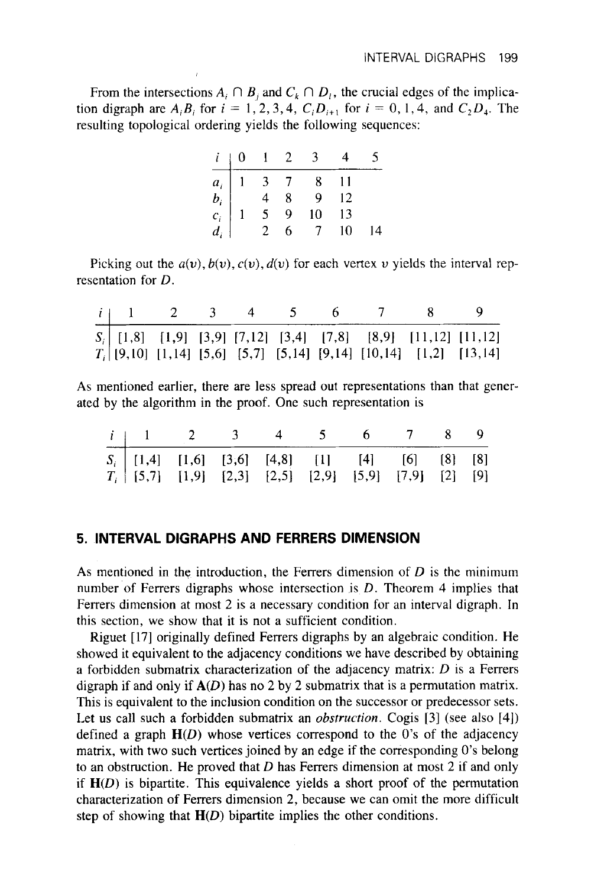From the intersections  $A_i \cap B_j$  and  $C_k \cap D_j$ , the crucial edges of the implication digraph are  $A_i B_i$  for  $i = 1, 2, 3, 4$ ,  $C_i D_{i+1}$  for  $i = 0, 1, 4$ , and  $C_2 D_4$ . The resulting topological ordering yields the following sequences:

| $i \mid 0 \mid 1 \mid 2$ |  | $\overline{3}$                                                                                                               |    |  |
|--------------------------|--|------------------------------------------------------------------------------------------------------------------------------|----|--|
|                          |  | $\begin{array}{c ccccc} & a_i & 1 & 3 & 7 & 8 \\ b_i & & 4 & 8 & 9 \\ c_i & 1 & 5 & 9 & 10 \\ d_i & & 2 & 6 & 7 \end{array}$ |    |  |
|                          |  |                                                                                                                              | 12 |  |
|                          |  |                                                                                                                              | 13 |  |
|                          |  | $\overline{7}$                                                                                                               | 10 |  |

Picking out the  $a(v)$ ,  $b(v)$ ,  $c(v)$ ,  $d(v)$  for each vertex v yields the interval representation for *D.* 

|  |  | $\sim$ 4 |  |                                                                     |  |
|--|--|----------|--|---------------------------------------------------------------------|--|
|  |  |          |  | $S_i$ [1,8] [1,9] [3,9] [7,12] [3,4] [7,8] [8,9] [11,12] [11,12]    |  |
|  |  |          |  | $T_i$ [9,10] [1,14] [5,6] [5,7] [5,14] [9,14] [10,14] [1,2] [13,14] |  |

**As** mentioned earlier, there are less spread out representations than that generated by the algorithm in the proof. One such representation is

| <i>i</i>   1 2 3 4 5 6 7 8 9                                                                                 |  |  |  |  |
|--------------------------------------------------------------------------------------------------------------|--|--|--|--|
| $S_i$ [1,4] [1,6] [3,6] [4,8] [1] [4] [6] [8] [8]<br>$T_i$ [5,7] [1,9] [2,3] [2,5] [2,9] [5,9] [7,9] [2] [9] |  |  |  |  |
|                                                                                                              |  |  |  |  |

#### **5. INTERVAL DIGRAPHS AND FERRERS DIMENSION**

**As** mentioned in the introduction, the Ferrers dimension of *D* is the minimum number of Ferrers digraphs whose intersection is D. Theorem 4 implies that Ferrers dimension at most 2 is a necessary condition for an interval digraph. In this section, we show that it is not a sufficient condition.

Riguet [ 171 originally defined Ferrers digraphs by an algebraic condition. He showed it equivalent to the adjacency conditions we have described by obtaining a forbidden submatrix characterization of the adjacency matrix: *D* is a Ferrers digraph if and only if *A(D)* has no 2 by 2 submatrix that is a permutation matrix. This is equivalent to the inclusion condition on the successor or predecessor sets. Let us call such a forbidden submatrix an *obstruction*. Cogis [3] (see also [4]) defined a graph *H(D)* whose vertices correspond to the 0's of the adjacency matrix, with two such vertices joined by an edge if the corresponding 0's belong to an obstruction. He proved that *D* has Ferrers dimension at most 2 if and only if  $H(D)$  is bipartite. This equivalence yields a short proof of the permutation characterization of Ferrers dimension 2, because we can omit the more difficult step of showing that **H(D)** bipartite implies the other conditions.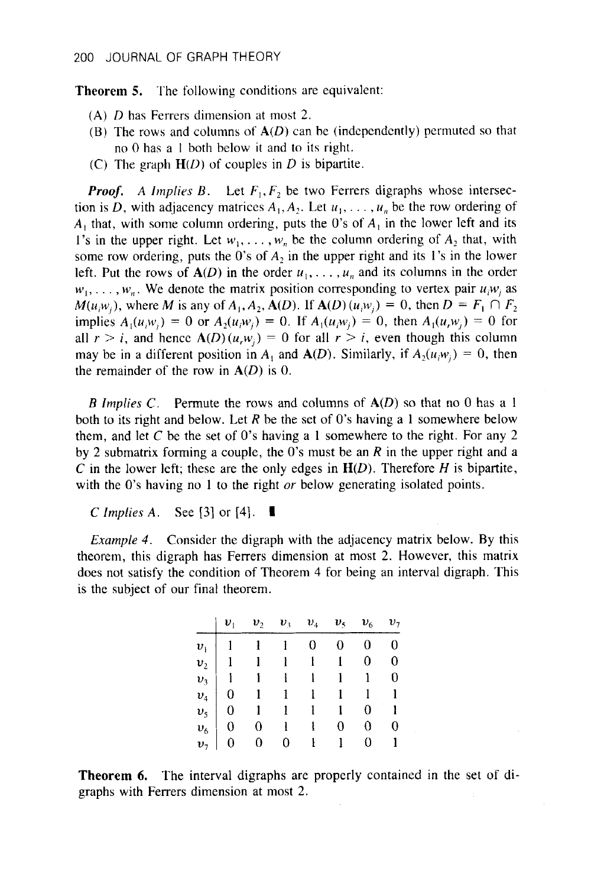**Theorem 5.** The following conditions are equivalent:

- **(A)** *D* has Ferrers dimension at most *2.*
- (B) The rows and columns of *A(D)* can be (independcntly) permuted so that no 0 has a I both below it and to its right.
- (C) The graph  $H(D)$  of couples in *D* is bipartite.

*Proof.* A Implies B. Let  $F_1, F_2$  be two Ferrers digraphs whose intersection is *D*, with adjacency matrices  $A_1, A_2$ . Let  $u_1, \ldots, u_n$  be the row ordering of *A,* that, with some column ordering, puts the 0's of *A,* in the lower left and its 1's in the upper right. Let  $w_1, \ldots, w_n$  be the column ordering of  $A_2$  that, with some row ordering, puts the 0's of  $A_2$  in the upper right and its 1's in the lower left. Put the rows of  $A(D)$  in the order  $u_1, \ldots, u_n$  and its columns in the order  $w_1, \ldots, w_n$ . We denote the matrix position corresponding to vertex pair  $u_iw_i$  as *M*(*u<sub>i</sub>w<sub>i</sub>*), where *M* is any of  $A_1$ ,  $A_2$ ,  $A(D)$ . If  $A(D)$  (*u<sub>i</sub>w<sub>i</sub>*) = 0, then  $D = F_1 \cap F_2$ implies  $A_1(u_iw_i) = 0$  or  $A_2(u_iw_i) = 0$ . If  $A_1(u_iw_i) = 0$ , then  $A_1(u_iw_i) = 0$  for all  $r > i$ , and hence  $A(D)(u,w_i) = 0$  for all  $r > i$ , even though this column may be in a different position in  $A_1$  and  $A(D)$ . Similarly, if  $A_2(u_iw_i) = 0$ , then the remainder of the row in *A(D)* is 0.

*B Implies* C. Permute the rows and columns of *A(D)* so that no 0 has a 1 both to its right and below. Let *R* be the set of *0's* having a 1 somewhere below them, and let C be the set of 0's having a 1 somewhere to the right. For any 2 by *2* submatrix forming a couple, the 0's must be an *R* in the upper right and a *C* in the lower left; these are the only edges in  $H(D)$ . Therefore *H* is bipartite, with the *0's* having no 1 to the right *or* below generating isolated points.

*<sup>C</sup>Implies A.* See *[3]* or [4]. **I** 

*Example 4.* Consider the digraph with the adjacency matrix below. By this theorem, this digraph has Ferrers dimension at most *2.* However, this matrix does not satisfy the condition of Theorem 4 for being an interval digraph. This is the subject of our final theorem.

|  |                                                                                                                                                                                                                                                                                                                                                                                         |  | $v_2$ $v_3$ $v_4$ $v_5$ $v_6$ $v_7$ |  |
|--|-----------------------------------------------------------------------------------------------------------------------------------------------------------------------------------------------------------------------------------------------------------------------------------------------------------------------------------------------------------------------------------------|--|-------------------------------------|--|
|  | $\begin{tabular}{ c cccc } \hline $\upsilon_i$ & $1$ & $1$ & $1$ & $0$ & $0$ & $0$ & $0$ \\ $\upsilon_2$ & $1$ & $1$ & $1$ & $1$ & $1$ & $0$ & $0$ \\ $\upsilon_3$ & $1$ & $1$ & $1$ & $1$ & $1$ & $1$ & $0$ \\ $\upsilon_4$ & $0$ & $1$ & $1$ & $1$ & $1$ & $1$ & $1$ \\ $\upsilon_5$ & $0$ & $1$ & $1$ & $1$ & $1$ & $0$ & $1$ \\ $\upsilon_6$ & $0$ & $0$ & $1$ & $1$ & $0$ & $0$ &$ |  |                                     |  |
|  |                                                                                                                                                                                                                                                                                                                                                                                         |  |                                     |  |
|  |                                                                                                                                                                                                                                                                                                                                                                                         |  |                                     |  |
|  |                                                                                                                                                                                                                                                                                                                                                                                         |  |                                     |  |
|  |                                                                                                                                                                                                                                                                                                                                                                                         |  |                                     |  |
|  |                                                                                                                                                                                                                                                                                                                                                                                         |  |                                     |  |
|  |                                                                                                                                                                                                                                                                                                                                                                                         |  |                                     |  |

**Theorem 6.** The interval digraphs are properly contained in the set of digraphs with Ferrers dimension at most *2.*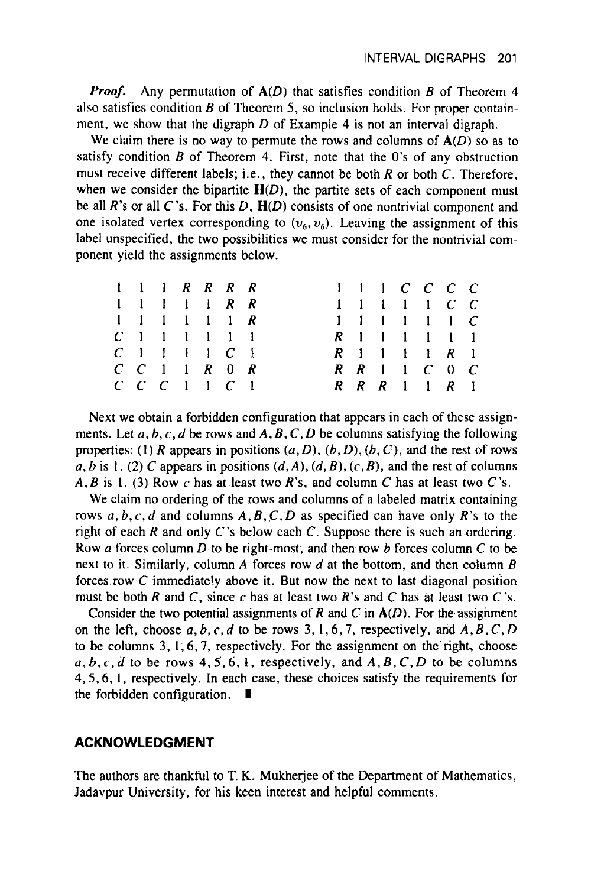*froof.* Any permutation of *A(D)* that satisfies condition *B* of Theorem 4 **also** satisfies condition *B* of Theorem *5,* so inclusion holds. For proper containment, we show that the digraph *D* of Example 4 is not an interval digraph.

We claim there is no way to permute the rows and columns of  $A(D)$  so as to satisfy condition *B* of Theorem **4.** First, note that the 0's of any obstruction must receive different labels; i.e., they cannot be both **R** or both **C.** Therefore, when we consider the bipartite  $H(D)$ , the partite sets of each component must be all **R's or** all C's. For this *D, H(D)* consists of one nontrivial component and one isolated vertex corresponding to  $(v_6, v_6)$ . Leaving the assignment of this label unspecified, the two possibilities we must consider for the nontrivial component yield the assignments below.

|  | 1 1 1 R R R R                                       |  |  | 1 1 1 <i>C C C C</i>  |  |  |  |
|--|-----------------------------------------------------|--|--|-----------------------|--|--|--|
|  | 1 1 1 1 1 R R                                       |  |  | 1 1 1 1 1 C C         |  |  |  |
|  | 1 1 1 1 1 1 R                                       |  |  | 1 1 1 1 1 1 C         |  |  |  |
|  | $C_1$ 1 1 1 1 1                                     |  |  | $R$ 1 1 1 1 1 1       |  |  |  |
|  | $C_1$ 1 1 1 $C_1$                                   |  |  | $R$ 1 1 1 1 $R$ 1     |  |  |  |
|  | $C \quad C \quad 1 \quad 1 \quad R \quad 0 \quad R$ |  |  | $R$ $R$ 1 1 $C$ 0 $C$ |  |  |  |
|  | $C$ $C$ $C$ $1$ $1$ $C$ $1$                         |  |  | $R$ $R$ $R$ 1 1 $R$ 1 |  |  |  |

Next we obtain a forbidden configuration that appears in each of these assignments. Let  $a, b, c, d$  be rows and  $A, B, C, D$  be columns satisfying the following properties: (1) **R** appears in positions *(a, D), (6, D), (b,* C), and the rest of rows  $\overrightarrow{a}$ ,  $\overrightarrow{b}$  is 1. (2)  $\overrightarrow{C}$  appears in positions  $(d, A), (d, B), (c, B)$ , and the rest of columns *A, B* is 1. (3) Row *c* has at least two *R*'s, and column *C* has at least two *C*'s.

We claim no ordering of the rows and columns of a labeled matrix containing rows *a, b, c, d* and columns *A, B,* C, *D* as specified can have only **R's** to the right of each **R** and only **C's** below each *C.* Suppose there is such an ordering. Row *a* forces column *D* to be right-most, and then row *6* forces column *C* to be next to it. Similarly, column *A* forces row *d* at the bottom, and then column *B*  forces row *C* immediate!y above it. But now the next to last diagonal position must be both **R** and C, since *c* has at least two **R's** and *C* has at least two C's.

Consider the two potential assignments of  $R$  and  $C$  in  $A(D)$ . For the assignment on the left, choose  $a, b, c, d$  to be rows 3, 1, 6, 7, respectively, and  $A, B, C, D$ to be columns **3, 1,6,7,** respectively. For the assignment on the'right, choose  $a, b, c, d$  to be rows  $4, 5, 6, 1$ , respectively, and  $A, B, C, D$  to be columns **4,5,6, 1,** respectively. In each case, these choices satisfy the requirements for the forbidden configuration. **I** 

#### **ACKNOWLEDGMENT**

The authors are thankful to T. K. Mukhejee of the Department of Mathematics, Jadavpur University, **for** his keen interest and helpful comments.